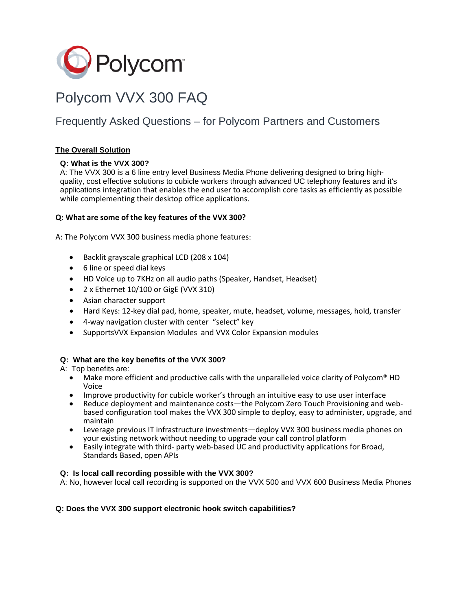

# Polycom VVX 300 FAQ

# Frequently Asked Questions – for Polycom Partners and Customers

# **The Overall Solution**

# **Q: What is the VVX 300?**

A: The VVX 300 is a 6 line entry level Business Media Phone delivering designed to bring highquality, cost effective solutions to cubicle workers through advanced UC telephony features and it's applications integration that enables the end user to accomplish core tasks as efficiently as possible while complementing their desktop office applications.

## **Q: What are some of the key features of the VVX 300?**

A: The Polycom VVX 300 business media phone features:

- Backlit grayscale graphical LCD (208 x 104)
- 6 line or speed dial keys
- HD Voice up to 7KHz on all audio paths (Speaker, Handset, Headset)
- 2 x Ethernet 10/100 or GigE (VVX 310)
- Asian character support
- Hard Keys: 12-key dial pad, home, speaker, mute, headset, volume, messages, hold, transfer
- 4-way navigation cluster with center "select" key
- SupportsVVX Expansion Modules and VVX Color Expansion modules

# **Q: What are the key benefits of the VVX 300?**

A: Top benefits are:

- Make more efficient and productive calls with the unparalleled voice clarity of Polycom<sup>®</sup> HD Voice
- Improve productivity for cubicle worker's through an intuitive easy to use user interface
- Reduce deployment and maintenance costs—the Polycom Zero Touch Provisioning and webbased configuration tool makes the VVX 300 simple to deploy, easy to administer, upgrade, and maintain
- Leverage previous IT infrastructure investments—deploy VVX 300 business media phones on your existing network without needing to upgrade your call control platform
- Easily integrate with third- party web-based UC and productivity applications for Broad, Standards Based, open APIs

#### **Q: Is local call recording possible with the VVX 300?**

A: No, however local call recording is supported on the VVX 500 and VVX 600 Business Media Phones

#### **Q: Does the VVX 300 support electronic hook switch capabilities?**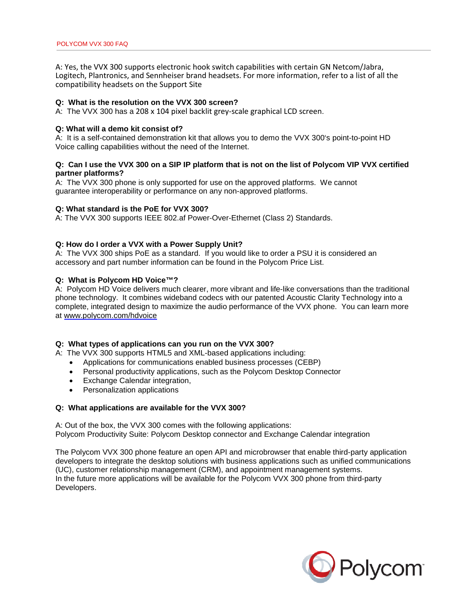A: Yes, the VVX 300 supports electronic hook switch capabilities with certain GN Netcom/Jabra, Logitech, Plantronics, and Sennheiser brand headsets. For more information, refer to a list of all the compatibility headsets on the Support Site

#### **Q: What is the resolution on the VVX 300 screen?**

A: The VVX 300 has a 208 x 104 pixel backlit grey-scale graphical LCD screen.

#### **Q: What will a demo kit consist of?**

A: It is a self-contained demonstration kit that allows you to demo the VVX 300's point-to-point HD Voice calling capabilities without the need of the Internet.

#### **Q: Can I use the VVX 300 on a SIP IP platform that is not on the list of Polycom VIP VVX certified partner platforms?**

A: The VVX 300 phone is only supported for use on the approved platforms. We cannot guarantee interoperability or performance on any non-approved platforms.

#### **Q: What standard is the PoE for VVX 300?**

A: The VVX 300 supports IEEE 802.af Power-Over-Ethernet (Class 2) Standards.

#### **Q: How do I order a VVX with a Power Supply Unit?**

A: The VVX 300 ships PoE as a standard. If you would like to order a PSU it is considered an accessory and part number information can be found in the Polycom Price List.

#### **Q: What is Polycom HD Voice™?**

A: Polycom HD Voice delivers much clearer, more vibrant and life-like conversations than the traditional phone technology. It combines wideband codecs with our patented Acoustic Clarity Technology into a complete, integrated design to maximize the audio performance of the VVX phone. You can learn more at [www.polycom.com/hdvoice](http://www.polycom.com/hdvoice)

#### **Q: What types of applications can you run on the VVX 300?**

A: The VVX 300 supports HTML5 and XML-based applications including:

- Applications for communications enabled business processes (CEBP)
- Personal productivity applications, such as the Polycom Desktop Connector
- Exchange Calendar integration,
- Personalization applications

#### **Q: What applications are available for the VVX 300?**

A: Out of the box, the VVX 300 comes with the following applications: Polycom Productivity Suite: Polycom Desktop connector and Exchange Calendar integration

The Polycom VVX 300 phone feature an open API and microbrowser that enable third-party application developers to integrate the desktop solutions with business applications such as unified communications (UC), customer relationship management (CRM), and appointment management systems. In the future more applications will be available for the Polycom VVX 300 phone from third-party Developers.